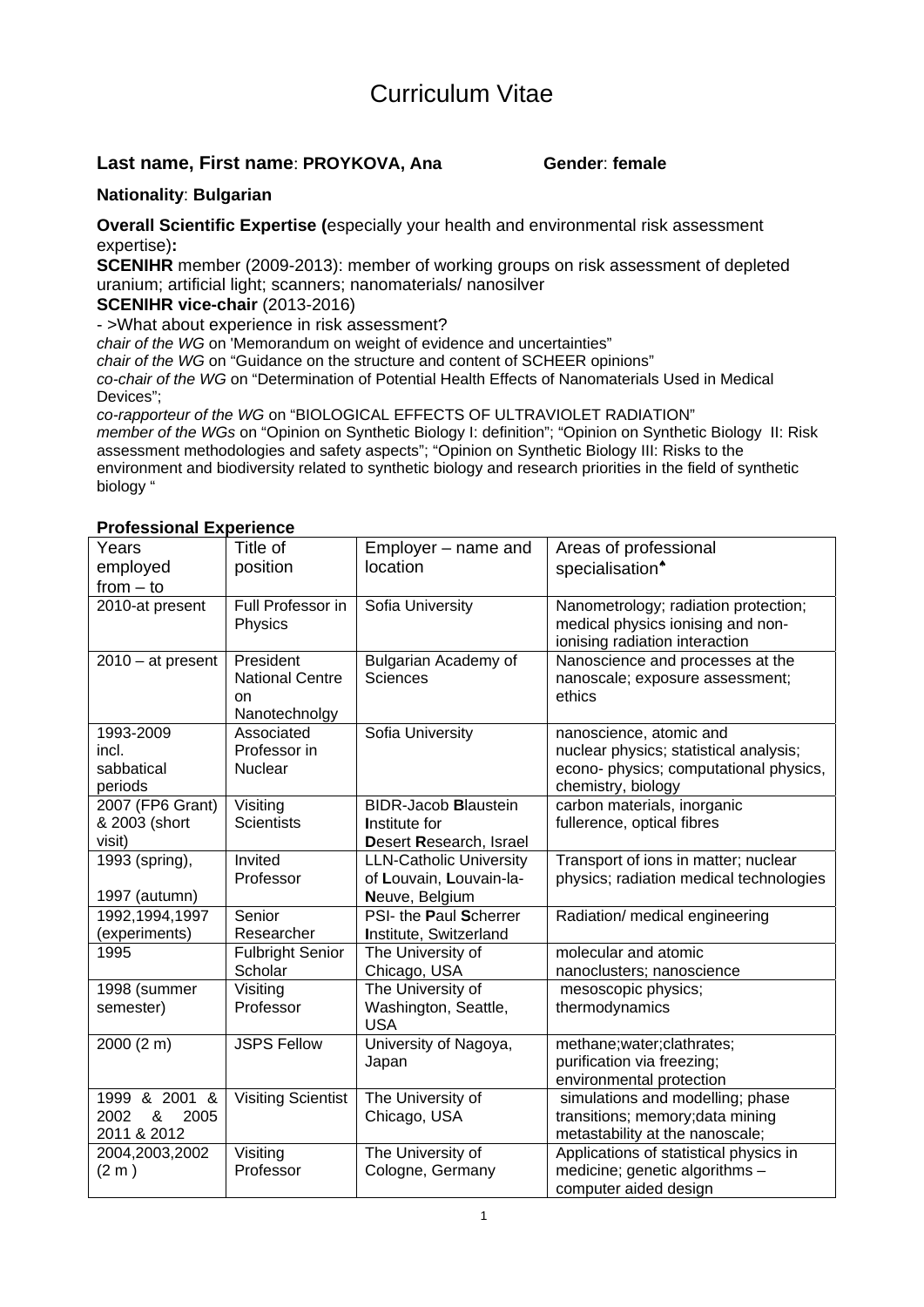# Curriculum Vitae

#### **Last name, First name: PROYKOVA, Ana Gender: female**

#### **Nationality**: **Bulgarian**

**Overall Scientific Expertise (**especially your health and environmental risk assessment expertise)**:** 

**SCENIHR** member (2009-2013): member of working groups on risk assessment of depleted uranium; artificial light; scanners; nanomaterials/ nanosilver

#### **SCENIHR vice-chair** (2013-2016)

- >What about experience in risk assessment?

*chair of the WG* on 'Memorandum on weight of evidence and uncertainties"

*chair of the WG* on "Guidance on the structure and content of SCHEER opinions"

*co-chair of the WG* on "Determination of Potential Health Effects of Nanomaterials Used in Medical Devices";

*co-rapporteur of the WG* on "BIOLOGICAL EFFECTS OF ULTRAVIOLET RADIATION" *member of the WGs* on "Opinion on Synthetic Biology I: definition"; "Opinion on Synthetic Biology II: Risk assessment methodologies and safety aspects"; "Opinion on Synthetic Biology III: Risks to the environment and biodiversity related to synthetic biology and research priorities in the field of synthetic biology "

#### **Professional Experience**

| Years<br>employed                                 | Title of<br>position                                       | Employer – name and<br>location                | Areas of professional<br>specialisation <sup>*</sup>                                                                              |
|---------------------------------------------------|------------------------------------------------------------|------------------------------------------------|-----------------------------------------------------------------------------------------------------------------------------------|
| $from - to$                                       |                                                            |                                                |                                                                                                                                   |
| 2010-at present                                   | Full Professor in<br>Physics                               | Sofia University                               | Nanometrology; radiation protection;<br>medical physics ionising and non-<br>ionising radiation interaction                       |
| $2010 - at present$                               | President<br><b>National Centre</b><br>on<br>Nanotechnolgy | <b>Bulgarian Academy of</b><br><b>Sciences</b> | Nanoscience and processes at the<br>nanoscale; exposure assessment;<br>ethics                                                     |
| 1993-2009<br>incl.<br>sabbatical<br>periods       | Associated<br>Professor in<br><b>Nuclear</b>               | Sofia University                               | nanoscience, atomic and<br>nuclear physics; statistical analysis;<br>econo- physics; computational physics,<br>chemistry, biology |
| 2007 (FP6 Grant)                                  | Visiting                                                   | <b>BIDR-Jacob Blaustein</b>                    | carbon materials, inorganic                                                                                                       |
| & 2003 (short                                     | <b>Scientists</b>                                          | Institute for                                  | fullerence, optical fibres                                                                                                        |
| visit)                                            |                                                            | Desert Research, Israel                        |                                                                                                                                   |
| 1993 (spring),                                    | Invited                                                    | <b>LLN-Catholic University</b>                 | Transport of ions in matter; nuclear                                                                                              |
|                                                   | Professor                                                  | of Louvain, Louvain-la-                        | physics; radiation medical technologies                                                                                           |
| 1997 (autumn)                                     |                                                            | Neuve, Belgium                                 |                                                                                                                                   |
| 1992, 1994, 1997                                  | Senior                                                     | PSI- the Paul Scherrer                         | Radiation/ medical engineering                                                                                                    |
| (experiments)                                     | Researcher                                                 | Institute, Switzerland                         |                                                                                                                                   |
| 1995                                              | <b>Fulbright Senior</b>                                    | The University of                              | molecular and atomic                                                                                                              |
|                                                   | Scholar                                                    | Chicago, USA                                   | nanoclusters; nanoscience                                                                                                         |
| 1998 (summer                                      | Visiting                                                   | The University of                              | mesoscopic physics;                                                                                                               |
| semester)                                         | Professor                                                  | Washington, Seattle,<br><b>USA</b>             | thermodynamics                                                                                                                    |
| 2000 (2 m)                                        | <b>JSPS Fellow</b>                                         | University of Nagoya,<br>Japan                 | methane; water; clathrates;<br>purification via freezing;<br>environmental protection                                             |
| 1999 & 2001 &<br>&<br>2002<br>2005<br>2011 & 2012 | <b>Visiting Scientist</b>                                  | The University of<br>Chicago, USA              | simulations and modelling; phase<br>transitions; memory; data mining<br>metastability at the nanoscale;                           |
| 2004,2003,2002                                    | Visiting                                                   | The University of                              | Applications of statistical physics in                                                                                            |
| $(2 \text{ m})$                                   | Professor                                                  | Cologne, Germany                               | medicine; genetic algorithms -<br>computer aided design                                                                           |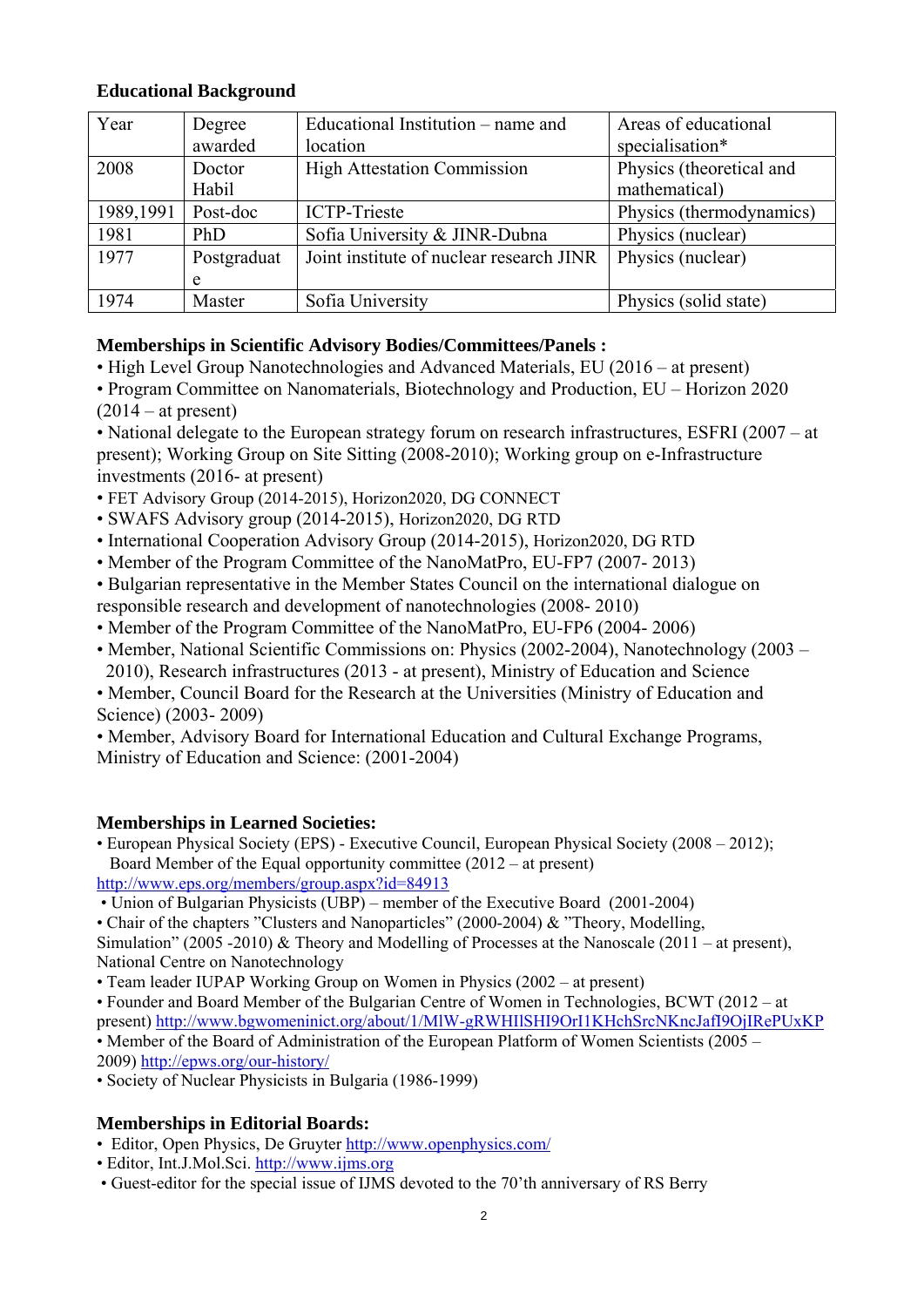## **Educational Background**

| Year      | Degree      | Educational Institution – name and       | Areas of educational     |
|-----------|-------------|------------------------------------------|--------------------------|
|           | awarded     | location                                 | specialisation*          |
| 2008      | Doctor      | <b>High Attestation Commission</b>       | Physics (theoretical and |
|           | Habil       |                                          | mathematical)            |
| 1989,1991 | Post-doc    | <b>ICTP-Trieste</b>                      | Physics (thermodynamics) |
| 1981      | PhD.        | Sofia University & JINR-Dubna            | Physics (nuclear)        |
| 1977      | Postgraduat | Joint institute of nuclear research JINR | Physics (nuclear)        |
|           | e           |                                          |                          |
| 1974      | Master      | Sofia University                         | Physics (solid state)    |

## **Memberships in Scientific Advisory Bodies/Committees/Panels :**

- High Level Group Nanotechnologies and Advanced Materials, EU (2016 at present)
- Program Committee on Nanomaterials, Biotechnology and Production, EU Horizon 2020  $(2014 - at present)$

• National delegate to the European strategy forum on research infrastructures, ESFRI (2007 – at present); Working Group on Site Sitting (2008-2010); Working group on e-Infrastructure investments (2016- at present)

- FET Advisory Group (2014-2015), Horizon2020, DG CONNECT
- SWAFS Advisory group (2014-2015), Horizon2020, DG RTD
- International Cooperation Advisory Group (2014-2015), Horizon2020, DG RTD
- Member of the Program Committee of the NanoMatPro, EU-FP7 (2007- 2013)
- Bulgarian representative in the Member States Council on the international dialogue on responsible research and development of nanotechnologies (2008- 2010)
- Member of the Program Committee of the NanoMatPro, EU-FP6 (2004- 2006)
- Member, National Scientific Commissions on: Physics (2002-2004), Nanotechnology (2003 2010), Research infrastructures (2013 - at present), Ministry of Education and Science
- Member, Council Board for the Research at the Universities (Ministry of Education and Science) (2003- 2009)

• Member, Advisory Board for International Education and Cultural Exchange Programs, Ministry of Education and Science: (2001-2004)

## **Memberships in Learned Societies:**

• European Physical Society (EPS) - Executive Council, European Physical Society (2008 – 2012); Board Member of the Equal opportunity committee (2012 – at present) <http://www.eps.org/members/group.aspx?id=84913>

• Union of Bulgarian Physicists (UBP) – member of the Executive Board (2001-2004)

• Chair of the chapters "Clusters and Nanoparticles" (2000-2004) & "Theory, Modelling,

Simulation" (2005 -2010) & Theory and Modelling of Processes at the Nanoscale (2011 – at present), National Centre on Nanotechnology

- Team leader IUPAP Working Group on Women in Physics (2002 at present)
- Founder and Board Member of the Bulgarian Centre of Women in Technologies, BCWT (2012 at present)<http://www.bgwomeninict.org/about/1/MlW-gRWHIlSHI9OrI1KHchSrcNKncJafI9OjIRePUxKP>

• Member of the Board of Administration of the European Platform of Women Scientists (2005 –

2009[\) http://epws.org/our-history/](http://epws.org/our-history/)

• Society of Nuclear Physicists in Bulgaria (1986-1999)

## **Memberships in Editorial Boards:**

- Editor, Open Physics, De Gruyter<http://www.openphysics.com/>
- Editor, Int.J.Mol.Sci. [http://www.ijms.org](http://www.ijms.org/)
- Guest-editor for the special issue of IJMS devoted to the 70'th anniversary of RS Berry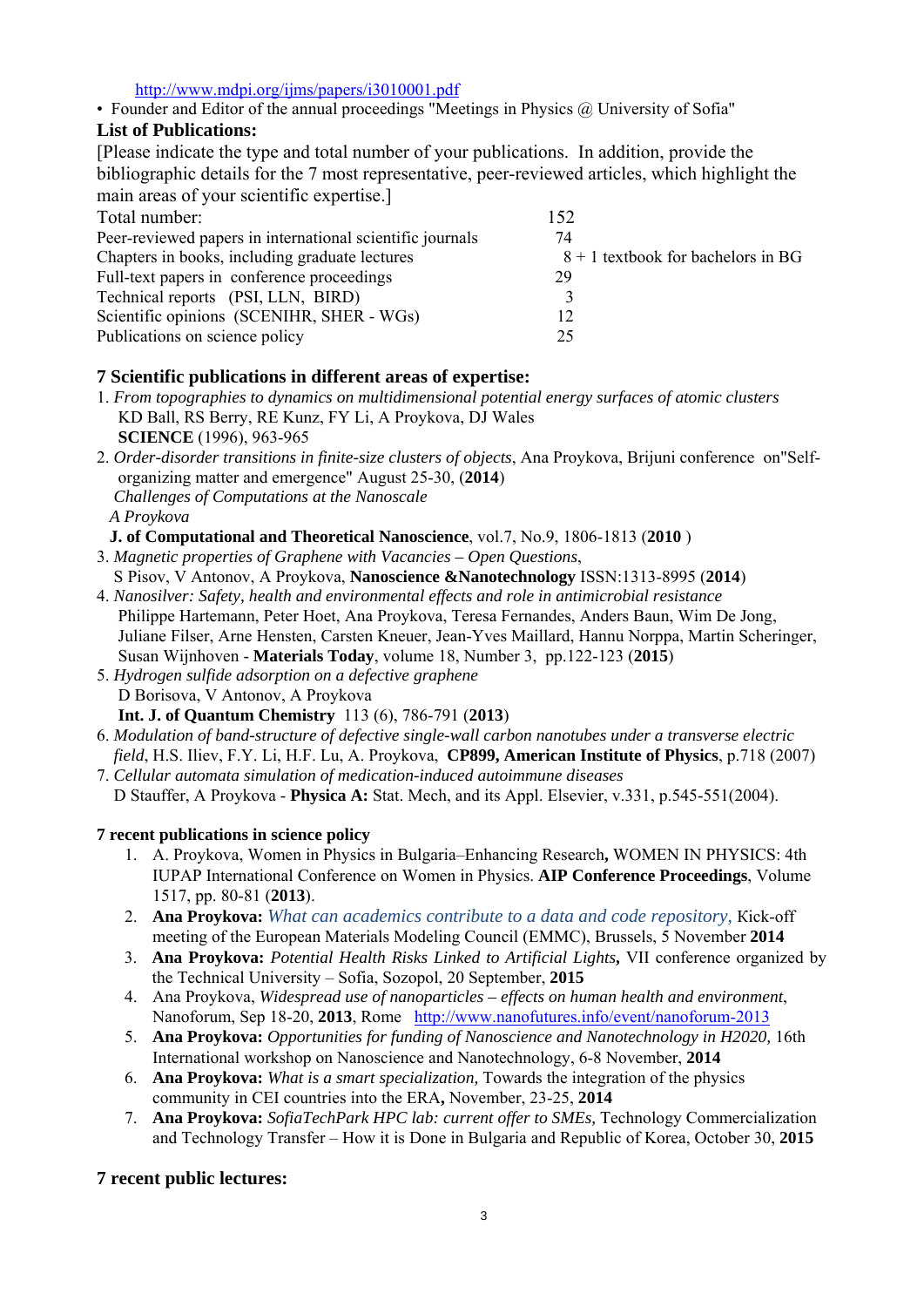<http://www.mdpi.org/ijms/papers/i3010001.pdf>

• Founder and Editor of the annual proceedings "Meetings in Physics @ University of Sofia"

## **List of Publications:**

[Please indicate the type and total number of your publications. In addition, provide the bibliographic details for the 7 most representative, peer-reviewed articles, which highlight the main areas of your scientific expertise.]

| Total number:                                             | 152                                  |
|-----------------------------------------------------------|--------------------------------------|
| Peer-reviewed papers in international scientific journals | 74                                   |
| Chapters in books, including graduate lectures            | $8 + 1$ textbook for bachelors in BG |
| Full-text papers in conference proceedings                | 29                                   |
| Technical reports (PSI, LLN, BIRD)                        |                                      |
| Scientific opinions (SCENIHR, SHER - WGs)                 | 12                                   |
| Publications on science policy                            | 25                                   |

## **7 Scientific publications in different areas of expertise:**

- 1. *From topographies to dynamics on multidimensional potential energy surfaces of atomic clusters* KD Ball, RS Berry, RE Kunz, FY Li, A Proykova, DJ Wales  **SCIENCE** (1996), 963-965
- 2. *Order-disorder transitions in finite-size clusters of objects*, Ana Proykova, Brijuni conference on"Self organizing matter and emergence" August 25-30, (**2014**)  *Challenges of Computations at the Nanoscale A Proykova* 
	- **J. of Computational and Theoretical Nanoscience**, vol.7, No.9, 1806-1813 (**2010** )
- 3. *Magnetic properties of Graphene with Vacancies Open Questions*, S Pisov, V Antonov, A Proykova, **Nanoscience &Nanotechnology** ISSN:1313-8995 (**2014**)
- 4. *Nanosilver: Safety, health and environmental effects and role in antimicrobial resistance* Philippe Hartemann, Peter Hoet, Ana Proykova, Teresa Fernandes, Anders Baun, Wim De Jong, Juliane Filser, Arne Hensten, Carsten Kneuer, Jean-Yves Maillard, Hannu Norppa, Martin Scheringer, Susan Wijnhoven - **Materials Today**, volume 18, Number 3, pp.122-123 (**2015**)
- 5. *Hydrogen sulfide adsorption on a defective graphene* D Borisova, V Antonov, A Proykova  **Int. J. of Quantum Chemistry** 113 (6), 786-791 (**2013**)
- 6. *Modulation of band-structure of defective single-wall carbon nanotubes under a transverse electric field*, H.S. Iliev, F.Y. Li, H.F. Lu, A. Proykova, **CP899, American Institute of Physics**, p.718 (2007)
- 7. *Cellular automata simulation of medication-induced autoimmune diseases* D Stauffer, A Proykova - **Physica A:** Stat. Mech, and its Appl. Elsevier, v.331, p.545-551(2004).

## **7 recent publications in science policy**

- 1. A. Proykova, Women in Physics in Bulgaria–Enhancing Research**,** WOMEN IN PHYSICS: 4th IUPAP International Conference on Women in Physics. **AIP Conference Proceedings**, Volume 1517, pp. 80-81 (**2013**).
- 2. **Ana Proykova:** *What can academics contribute to a data and code repository,* Кick-off meeting of the European Materials Modeling Council (EMMC), Brussels, 5 November **2014**
- 3. **Ana Proykova:** *Potential Health Risks Linked to Artificial Lights***,** VII conference organized by the Technical University – Sofia, Sozopol, 20 September, **2015**
- 4. Ana Proykova, *Widespread use of nanoparticles effects on human health and environment*, Nanoforum, Sep 18-20, **2013**, Rome <http://www.nanofutures.info/event/nanoforum-2013>
- 5. **Ana Proykova:** *Opportunities for funding of Nanoscience and Nanotechnology in H2020,* 16th International workshop on Nanoscience and Nanotechnology, 6-8 November, **2014**
- 6. **Ana Proykova:** *What is a smart specialization,* Towards the integration of the physics community in CEI countries into the ERA**,** November, 23-25, **2014**
- 7. **Ana Proykova:** *SofiaTechPark HPC lab: current offer to SMEs,* Technology Commercialization and Technology Transfer – How it is Done in Bulgaria and Republic of Korea, October 30, **2015**

## **7 recent public lectures:**